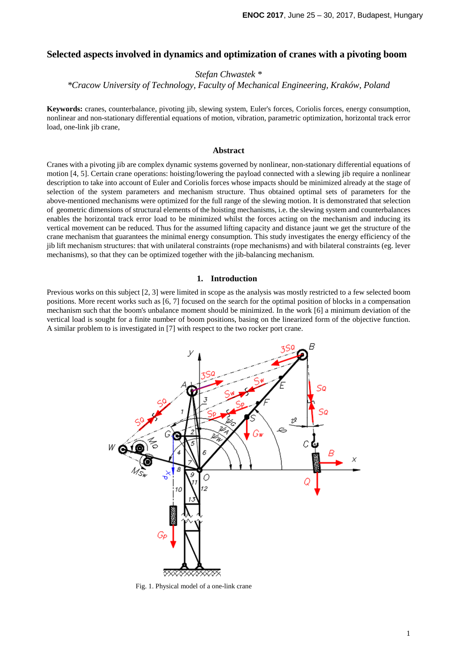# **Selected aspects involved in dynamics and optimization of cranes with a pivoting boom**

*Stefan Chwastek \** 

*\*Cracow University of Technology, Faculty of Mechanical Engineering, Kraków, Poland* 

**Keywords:** cranes, counterbalance, pivoting jib, slewing system, Euler's forces, Coriolis forces, energy consumption, nonlinear and non-stationary differential equations of motion, vibration, parametric optimization, horizontal track error load, one-link jib crane,

#### **Abstract**

Cranes with a pivoting jib are complex dynamic systems governed by nonlinear, non-stationary differential equations of motion [4, 5]. Certain crane operations: hoisting/lowering the payload connected with a slewing jib require a nonlinear description to take into account of Euler and Coriolis forces whose impacts should be minimized already at the stage of selection of the system parameters and mechanism structure. Thus obtained optimal sets of parameters for the above-mentioned mechanisms were optimized for the full range of the slewing motion. It is demonstrated that selection of geometric dimensions of structural elements of the hoisting mechanisms, i.e. the slewing system and counterbalances enables the horizontal track error load to be minimized whilst the forces acting on the mechanism and inducing its vertical movement can be reduced. Thus for the assumed lifting capacity and distance jaunt we get the structure of the crane mechanism that guarantees the minimal energy consumption. This study investigates the energy efficiency of the jib lift mechanism structures: that with unilateral constraints (rope mechanisms) and with bilateral constraints (eg. lever mechanisms), so that they can be optimized together with the jib-balancing mechanism.

## **1. Introduction**

Previous works on this subject [2, 3] were limited in scope as the analysis was mostly restricted to a few selected boom positions. More recent works such as [6, 7] focused on the search for the optimal position of blocks in a compensation mechanism such that the boom's unbalance moment should be minimized. In the work [6] a minimum deviation of the vertical load is sought for a finite number of boom positions, basing on the linearized form of the objective function. A similar problem to is investigated in [7] with respect to the two rocker port crane.



Fig. 1. Physical model of a one-link crane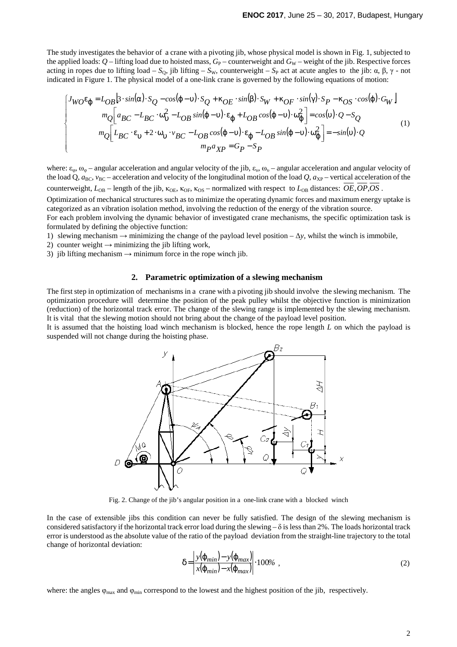The study investigates the behavior of a crane with a pivoting jib, whose physical model is shown in Fig. 1, subjected to the applied loads:  $Q$  – lifting load due to hoisted mass,  $G_P$  – counterweight and  $G_W$  – weight of the jib. Respective forces acting in ropes due to lifting load –  $S_0$ , jib lifting –  $S_w$ , counterweight –  $S_P$  act at acute angles to the jib: α, β, γ - not indicated in Figure 1. The physical model of a one-link crane is governed by the following equations of motion:

$$
\begin{bmatrix}\nJ_{WO}\varepsilon_{\varphi} = L_{OB} \left[ 3 \cdot \sin(\alpha) \cdot S_{Q} - \cos(\varphi - \nu) \cdot S_{Q} + \kappa_{OE} \cdot \sin(\beta) \cdot S_{W} + \kappa_{OF} \cdot \sin(\gamma) \cdot S_{P} - \kappa_{OS} \cdot \cos(\varphi) \cdot G_{W} \right] \\
m_{Q} \left[ a_{BC} - L_{BC} \cdot \omega_{\nu}^{2} - L_{OB} \sin(\varphi - \nu) \cdot \varepsilon_{\varphi} + L_{OB} \cos(\varphi - \nu) \cdot \omega_{\varphi}^{2} \right] = \cos(\nu) \cdot Q - S_{Q} \\
m_{Q} \left[ L_{BC} \cdot \varepsilon_{\nu} + 2 \cdot \omega_{\nu} \cdot \nu_{BC} - L_{OB} \cos(\varphi - \nu) \cdot \varepsilon_{\varphi} - L_{OB} \sin(\varphi - \nu) \cdot \omega_{\varphi}^{2} \right] = -\sin(\nu) \cdot Q \\
m_{P} a_{XP} = G_{P} - S_{P}\n\end{bmatrix} \tag{1}
$$

where:  $\varepsilon_{\omega}$ ,  $\omega_{\omega}$  – angular acceleration and angular velocity of the jib,  $\varepsilon_{\omega}$ ,  $\omega_{\omega}$  – angular acceleration and angular velocity of the load Q,  $a_{BC}$ ,  $v_{BC}$  – acceleration and velocity of the longitudinal motion of the load Q,  $a_{XP}$  – vertical acceleration of the

counterweight,  $L_{OB}$  – length of the jib, κ<sub>OE</sub>, κ<sub>OF</sub>, κ<sub>OS</sub> – normalized with respect to  $L_{OB}$  distances: *OE, OP, OS*.

Optimization of mechanical structures such as to minimize the operating dynamic forces and maximum energy uptake is categorized as an vibration isolation method, involving the reduction of the energy of the vibration source.

For each problem involving the dynamic behavior of investigated crane mechanisms, the specific optimization task is formulated by defining the objective function:

1) slewing mechanism → minimizing the change of the payload level position – ∆*y*, whilst the winch is immobile,

2) counter weight  $\rightarrow$  minimizing the jib lifting work,

3) jib lifting mechanism  $\rightarrow$  minimum force in the rope winch jib.

## **2. Parametric optimization of a slewing mechanism**

The first step in optimization of mechanisms in a crane with a pivoting jib should involve the slewing mechanism. The optimization procedure will determine the position of the peak pulley whilst the objective function is minimization (reduction) of the horizontal track error. The change of the slewing range is implemented by the slewing mechanism. It is vital that the slewing motion should not bring about the change of the payload level position.

It is assumed that the hoisting load winch mechanism is blocked, hence the rope length *L* on which the payload is suspended will not change during the hoisting phase.



Fig. 2. Change of the jib's angular position in a one-link crane with a blocked winch

In the case of extensible jibs this condition can never be fully satisfied. The design of the slewing mechanism is considered satisfactory if the horizontal track error load during the slewing  $-\delta$  is less than 2%. The loads horizontal track error is understood as the absolute value of the ratio of the payload deviation from the straight-line trajectory to the total change of horizontal deviation:

$$
\delta = \left| \frac{y(\varphi_{min}) - y(\varphi_{max})}{x(\varphi_{min}) - x(\varphi_{max})} \right| \cdot 100\%, \qquad (2)
$$

where: the angles  $\varphi_{\text{max}}$  and  $\varphi_{\text{min}}$  correspond to the lowest and the highest position of the jib, respectively.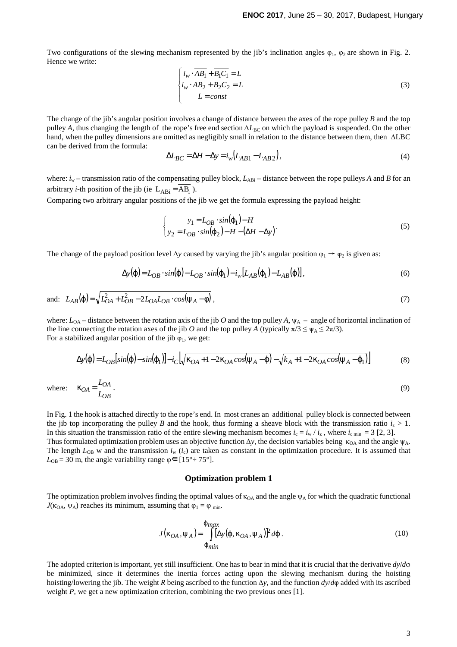Two configurations of the slewing mechanism represented by the jib's inclination angles  $\varphi_1$ ,  $\varphi_2$  are shown in Fig. 2. Hence we write:

$$
\begin{cases}\ni_{w} \cdot \overline{AB_1} + \overline{B_1 C_1} = L \\
i_{w} \cdot \overline{AB_2} + \overline{B_2 C_2} = L \\
L = const\n\end{cases}
$$
\n(3)

The change of the jib's angular position involves a change of distance between the axes of the rope pulley *B* and the top pulley *A*, thus changing the length of the rope's free end section  $ΔL_{BC}$  on which the payload is suspended. On the other hand, when the pulley dimensions are omitted as negligibly small in relation to the distance between them, then ∆LBC can be derived from the formula:

$$
\Delta L_{BC} = \Delta H - \Delta y = i_w \left( L_{AB1} - L_{AB2} \right),\tag{4}
$$

where:  $i_w$  – transmission ratio of the compensating pulley block,  $L_{ABi}$  – distance between the rope pulleys *A* and *B* for an arbitrary *i*-th position of the jib (ie  $L_{ABi} = AB_i$ ).

Comparing two arbitrary angular positions of the jib we get the formula expressing the payload height:

$$
\begin{cases}\ny_1 = L_{OB} \cdot \sin(\varphi_1) - H \\
y_2 = L_{OB} \cdot \sin(\varphi_2) - H - (\Delta H - \Delta y)\n\end{cases} \tag{5}
$$

The change of the payload position level  $\Delta y$  caused by varying the jib's angular position  $\varphi_1 \rightarrow \varphi_2$  is given as:

$$
\Delta y(\varphi) = L_{OB} \cdot \sin(\varphi) - L_{OB} \cdot \sin(\varphi_1) - i_w [L_{AB}(\varphi_1) - L_{AB}(\varphi)], \tag{6}
$$

and:  $L_{AB}(\varphi) = \sqrt{L_{OA}^2 + L_{OB}^2 - 2L_{OA}L_{OB} \cdot cos(\psi_A - \varphi)}$ , (7)

where:  $L_{OA}$  – distance between the rotation axis of the jib *O* and the top pulley  $A$ ,  $\psi_A$  – angle of horizontal inclination of the line connecting the rotation axes of the jib *O* and the top pulley *A* (typically  $\pi/3 \le \psi_A \le 2\pi/3$ ). For a stabilized angular position of the jib  $\varphi_1$ , we get:

$$
\Delta y(\varphi) = L_{OB}\left[\sin(\varphi) - \sin(\varphi_1)\right] - i_C\left[\sqrt{\kappa_{OA} + 1 - 2\kappa_{OA}\cos(\psi_A - \varphi)} - \sqrt{k_A + 1 - 2\kappa_{OA}\cos(\psi_A - \varphi_1)}\right]
$$
(8)

where: 
$$
\kappa_{OA} = \frac{L_{OA}}{L_{OB}}.
$$
 (9)

In Fig. 1 the hook is attached directly to the rope's end. In most cranes an additional pulley block is connected between the jib top incorporating the pulley *B* and the hook, thus forming a sheave block with the transmission ratio  $i_z > 1$ . In this situation the transmission ratio of the entire slewing mechanism becomes  $i_c = i_w / i_z$ , where  $i_c$ <sub>min</sub> = 3 [2, 3]. Thus formulated optimization problem uses an objective function  $\Delta y$ , the decision variables being  $\kappa_{OA}$  and the angle  $\psi_A$ . The length  $L_{OB}$  w and the transmission  $i_w$  ( $i_c$ ) are taken as constant in the optimization procedure. It is assumed that  $L_{OB} = 30$  m, the angle variability range  $\varphi \in [15^{\circ} \div 75^{\circ}]$ .

### **Optimization problem 1**

The optimization problem involves finding the optimal values of  $\kappa_{OA}$  and the angle  $\psi_A$  for which the quadratic functional  $J(\kappa_{OA}, \psi_A)$  reaches its minimum, assuming that  $\varphi_1 = \varphi_{min}$ .

$$
J(\kappa_{OA}, \psi_A) = \int_{\varphi_{min}}^{\varphi_{max}} [\Delta y(\varphi, \kappa_{OA}, \psi_A)]^2 d\varphi.
$$
 (10)

The adopted criterion is important, yet still insufficient. One has to bear in mind that it is crucial that the derivative *dy*/*d*φ be minimized, since it determines the inertia forces acting upon the slewing mechanism during the hoisting hoisting/lowering the jib. The weight *R* being ascribed to the function ∆*y*, and the function *dy*/*d*φ added with its ascribed weight *P*, we get a new optimization criterion, combining the two previous ones [1].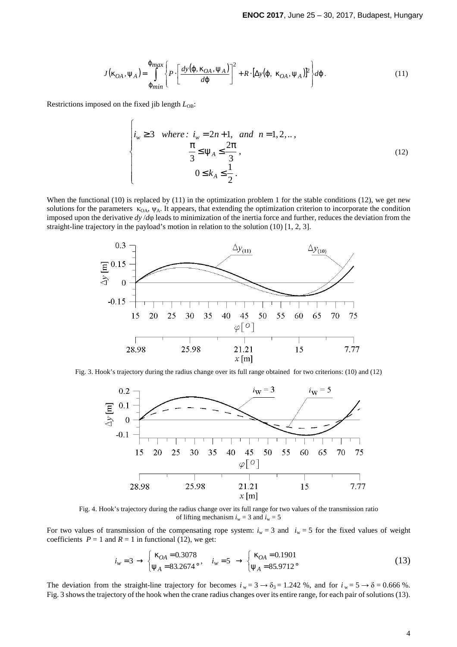$$
J(\kappa_{OA}, \psi_A) = \int_{\phi_{min}}^{\phi_{max}} \left\{ P \cdot \left[ \frac{dy(\varphi, \kappa_{OA}, \psi_A)}{d\varphi} \right]^2 + R \cdot [\Delta y(\varphi, \kappa_{OA}, \psi_A)]^2 \right\} d\varphi.
$$
 (11)

Restrictions imposed on the fixed jib length *L*OB:

 $\sqrt{ }$ 

$$
\begin{cases}\ni_{w} \ge 3 & \text{where: } i_{w} = 2n + 1, \text{ and } n = 1, 2, \dots, \\
\frac{\pi}{3} \le \psi_{A} \le \frac{2\pi}{3}, \\
0 \le k_{A} \le \frac{1}{2}.\n\end{cases}
$$
\n(12)

When the functional  $(10)$  is replaced by  $(11)$  in the optimization problem 1 for the stable conditions  $(12)$ , we get new solutions for the parameters  $\kappa_{\text{OA}}$ ,  $\psi_{\text{A}}$ . It appears, that extending the optimization criterion to incorporate the condition imposed upon the derivative *dy* /*d*φ leads to minimization of the inertia force and further, reduces the deviation from the straight-line trajectory in the payload's motion in relation to the solution (10) [1, 2, 3].



Fig. 3. Hook's trajectory during the radius change over its full range obtained for two criterions: (10) and (12)



Fig. 4. Hook's trajectory during the radius change over its full range for two values of the transmission ratio of lifting mechanism  $i_w = 3$  and  $i_w = 5$ 

For two values of transmission of the compensating rope system:  $i_w = 3$  and  $i_w = 5$  for the fixed values of weight coefficients  $P = 1$  and  $R = 1$  in functional (12), we get:

$$
i_w = 3 \rightarrow \begin{cases} \kappa_{OA} = 0.3078 \\ \psi_A = 83.2674^{\circ}, \end{cases} i_w = 5 \rightarrow \begin{cases} \kappa_{OA} = 0.1901 \\ \psi_A = 85.9712^{\circ} \end{cases}
$$
(13)

The deviation from the straight-line trajectory for becomes  $i_w = 3 \rightarrow \delta_3 = 1.242$  %, and for  $i_w = 5 \rightarrow \delta = 0.666$  %. Fig. 3 shows the trajectory of the hook when the crane radius changes over its entire range, for each pair of solutions (13).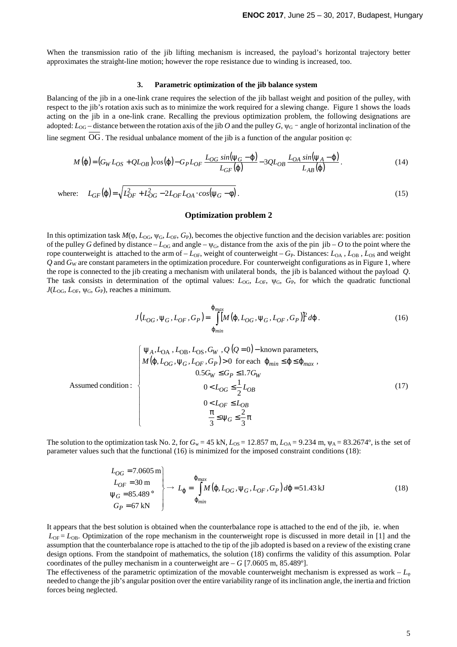When the transmission ratio of the jib lifting mechanism is increased, the payload's horizontal trajectory better approximates the straight-line motion; however the rope resistance due to winding is increased, too.

#### **3. Parametric optimization of the jib balance system**

Balancing of the jib in a one-link crane requires the selection of the jib ballast weight and position of the pulley, with respect to the jib's rotation axis such as to minimize the work required for a slewing change. Figure 1 shows the loads acting on the jib in a one-link crane. Recalling the previous optimization problem, the following designations are adopted:  $L_{OG}$  – distance between the rotation axis of the jib *O* and the pulley *G*,  $\psi_G$  – angle of horizontal inclination of the line segment OG.The residual unbalance moment of the jib is a function of the angular position φ:

$$
M(\varphi) = (G_W L_{OS} + Q L_{OB}) \cos(\varphi) - G_P L_{OF} \frac{L_{OG} \sin(\psi_G - \varphi)}{L_{GF}(\varphi)} - 3QL_{OB} \frac{L_{OA} \sin(\psi_A - \varphi)}{L_{AB}(\varphi)}.
$$
(14)

where: 
$$
L_{GF}(\phi) = \sqrt{L_{OF}^2 + L_{OG}^2 - 2L_{OF}L_{OA} \cdot \cos(\psi_G - \phi)}
$$
. (15)

## **Optimization problem 2**

In this optimization task  $M(\varphi, L_{\text{OG}}, \psi_{\text{G}}, L_{\text{OF}}, G_{\text{P}})$ , becomes the objective function and the decision variables are: position of the pulley G defined by distance –  $L_{OG}$  and angle –  $\psi_G$ , distance from the axis of the pin jib – O to the point where the rope counterweight is attached to the arm of  $-L_{OF}$ , weight of counterweight  $-G_P$ . Distances:  $L_{OA}$ ,  $L_{OB}$ ,  $L_{OS}$  and weight *Q* and *G*W are constant parameters in the optimization procedure. For counterweight configurations as in Figure 1, where the rope is connected to the jib creating a mechanism with unilateral bonds, the jib is balanced without the payload *Q*. The task consists in determination of the optimal values:  $L_{OG}$ ,  $L_{OF}$ ,  $\psi_G$ ,  $G_P$ , for which the quadratic functional  $J(L_{\text{OG}}, L_{\text{OF}}, \psi_{\text{G}}, G_{\text{P}})$ , reaches a minimum.

$$
J(L_{OG}, \psi_G, L_{OF}, G_P) = \int_{\varphi_{min}}^{\varphi_{max}} [M(\varphi, L_{OG}, \psi_G, L_{OF}, G_P)]^2 d\varphi.
$$
 (16)

Assumed condition :  
\n
$$
\begin{cases}\n\psi_A, L_{OA}, L_{OB}, L_{OS}, G_W, Q(Q=0) - \text{known parameters,} \\
M(\varphi, L_{OG}, \psi_G, L_{OF}, G_P) > 0 \text{ for each } \varphi_{min} \leq \varphi \leq \varphi_{max}, \\
0.5G_W \leq G_P \leq 1.7G_W \\
0 < L_{OG} \leq \frac{1}{2}L_{OB} \\
0 < L_{OF} \leq L_{OB} \\
\frac{\pi}{3} \leq \psi_G \leq \frac{2}{3}\pi\n\end{cases}
$$
\n(17)

The solution to the optimization task No. 2, for  $G_w = 45$  kN,  $L_{OS} = 12.857$  m,  $L_{OA} = 9.234$  m,  $\psi_A = 83.2674$ <sup>o</sup>, is the set of parameter values such that the functional (16) is minimized for the imposed constraint conditions (18):

$$
\begin{aligned}\nL_{OG} &= 7.0605 \text{ m} \\
L_{OF} &= 30 \text{ m} \\
\Psi_G &= 85.489^\circ \\
G_P &= 67 \text{ kN}\n\end{aligned}\n\right\} \rightarrow\nL_{\phi} = \int_{\phi_{min}}^{\phi_{max}} M(\varphi, L_{OG}, \Psi_G, L_{OF}, G_P) \, d\varphi = 51.43 \text{ kJ}\n\tag{18}
$$

It appears that the best solution is obtained when the counterbalance rope is attached to the end of the jib, ie. when  $L_{\text{OF}} = L_{\text{OB}}$ . Optimization of the rope mechanism in the counterweight rope is discussed in more detail in [1] and the assumption that the counterbalance rope is attached to the tip of the jib adopted is based on a review of the existing crane design options. From the standpoint of mathematics, the solution (18) confirms the validity of this assumption. Polar coordinates of the pulley mechanism in a counterweight are  $- G$  [7.0605 m, 85.489°].

The effectiveness of the parametric optimization of the movable counterweight mechanism is expressed as work –  $L_{\varphi}$ needed to change the jib's angular position over the entire variability range of its inclination angle, the inertia and friction forces being neglected.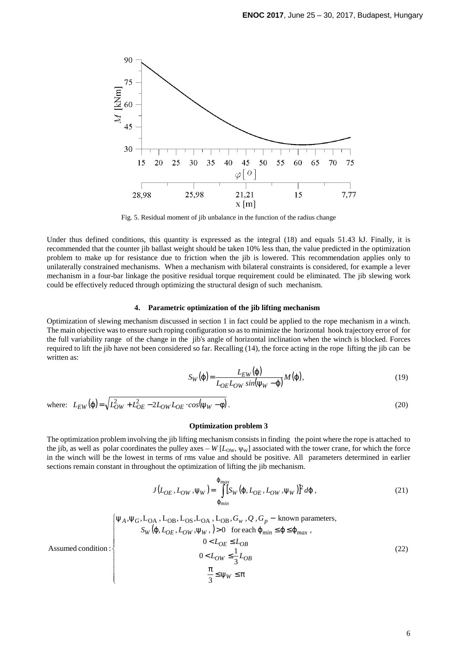

Fig. 5. Residual moment of jib unbalance in the function of the radius change

Under thus defined conditions, this quantity is expressed as the integral (18) and equals 51.43 kJ. Finally, it is recommended that the counter jib ballast weight should be taken 10% less than, the value predicted in the optimization problem to make up for resistance due to friction when the jib is lowered. This recommendation applies only to unilaterally constrained mechanisms. When a mechanism with bilateral constraints is considered, for example a lever mechanism in a four-bar linkage the positive residual torque requirement could be eliminated. The jib slewing work could be effectively reduced through optimizing the structural design of such mechanism.

### **4. Parametric optimization of the jib lifting mechanism**

Optimization of slewing mechanism discussed in section 1 in fact could be applied to the rope mechanism in a winch. The main objective was to ensure such roping configuration so as to minimize the horizontal hook trajectory error of for the full variability range of the change in the jib's angle of horizontal inclination when the winch is blocked. Forces required to lift the jib have not been considered so far. Recalling (14), the force acting in the rope lifting the jib can be written as:

$$
S_W(\varphi) = \frac{L_{EW}(\varphi)}{L_{OE}L_{OW} \sin(\psi_W - \varphi)} M(\varphi), \tag{19}
$$

where: 
$$
L_{EW}(\varphi) = \sqrt{L_{OW}^2 + L_{OE}^2 - 2L_{OW}L_{OE} \cdot cos(\psi_W - \varphi)}.
$$
 (20)

#### **Optimization problem 3**

The optimization problem involving the jib lifting mechanism consists in finding the point where the rope is attached to the jib, as well as polar coordinates the pulley axes –  $W$  [ $L_{OW}$ ,  $\psi$ <sub>W</sub>] associated with the tower crane, for which the force in the winch will be the lowest in terms of rms value and should be positive. All parameters determined in earlier sections remain constant in throughout the optimization of lifting the jib mechanism.

$$
J(L_{OE}, L_{OW}, \Psi_W) = \int_{\Phi_{min}}^{\Phi_{max}} [S_W(\varphi, L_{OE}, L_{OW}, \Psi_W)]^2 d\varphi,
$$
 (21)

Assumed condition :  
\n
$$
\begin{cases}\n\Psi_A, \Psi_G, L_{OA}, L_{OB}, L_{OS}, L_{OA}, L_{OB}, G_w, Q, G_p - \text{known parameters}, \\
S_W(\varphi, L_{OE}, L_{OW}, \psi_W, ) > 0 \quad \text{for each } \varphi_{min} \leq \varphi \leq \varphi_{max}, \\
0 < L_{OE} \leq L_{OB} \\
0 < L_{OW} \leq \frac{1}{3} L_{OB} \\
\frac{\pi}{3} \leq \psi_W \leq \pi\n\end{cases}
$$
\n
$$
(22)
$$

6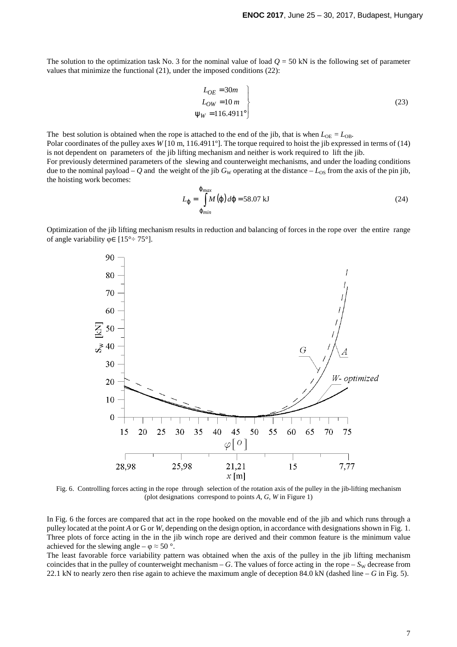The solution to the optimization task No. 3 for the nominal value of load  $Q = 50$  kN is the following set of parameter values that minimize the functional (21), under the imposed conditions (22):

$$
L_{OE} = 30m
$$
  
\n
$$
L_{OW} = 10 m
$$
  
\n
$$
\Psi_W = 116.4911^\circ
$$
\n(23)

The best solution is obtained when the rope is attached to the end of the jib, that is when  $L_{OE} = L_{OB}$ . Polar coordinates of the pulley axes *W* [10 m, 116.4911º]. The torque required to hoist the jib expressed in terms of (14) is not dependent on parameters of the jib lifting mechanism and neither is work required to lift the jib. For previously determined parameters of the slewing and counterweight mechanisms, and under the loading conditions due to the nominal payload – Q and the weight of the jib  $G_W$  operating at the distance –  $L_{OS}$  from the axis of the pin jib, the hoisting work becomes:

$$
L_{\varphi} = \int_{\varphi_{min}}^{\varphi_{max}} M(\varphi) d\varphi = 58.07 \text{ kJ}
$$
 (24)

Optimization of the jib lifting mechanism results in reduction and balancing of forces in the rope over the entire range of angle variability  $\varphi \in [15^{\circ} \div 75^{\circ}]$ .



Fig. 6. Controlling forces acting in the rope through selection of the rotation axis of the pulley in the jib-lifting mechanism (plot designations correspond to points *A*, *G*, *W* in Figure 1)

In Fig. 6 the forces are compared that act in the rope hooked on the movable end of the jib and which runs through a pulley located at the point *A* or G or *W*, depending on the design option, in accordance with designations shown in Fig. 1. Three plots of force acting in the in the jib winch rope are derived and their common feature is the minimum value achieved for the slewing angle –  $\varphi \approx 50$  °.

The least favorable force variability pattern was obtained when the axis of the pulley in the jib lifting mechanism coincides that in the pulley of counterweight mechanism – *G*. The values of force acting in the rope –  $S_W$  decrease from 22.1 kN to nearly zero then rise again to achieve the maximum angle of deception 84.0 kN (dashed line – *G* in Fig. 5).